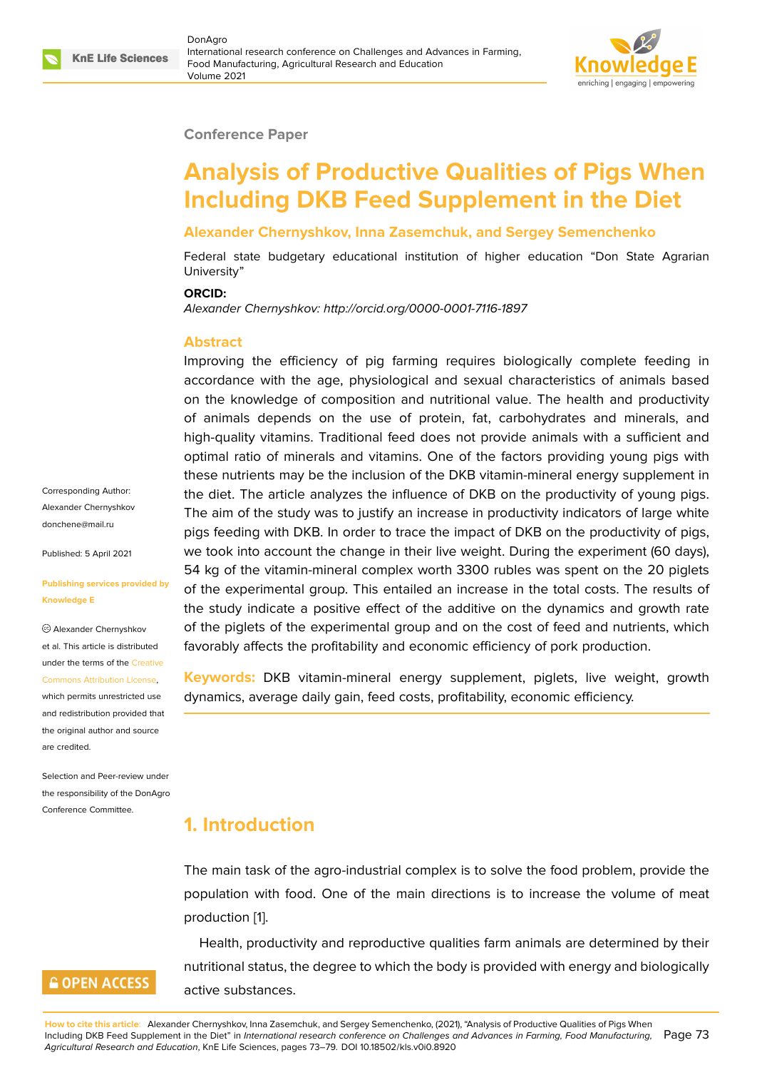### **Conference Paper**

# **Analysis of Productive Qualities of Pigs When Including DKB Feed Supplement in the Diet**

### **Alexander Chernyshkov, Inna Zasemchuk, and Sergey Semenchenko**

Federal state budgetary educational institution of higher education "Don State Agrarian University"

#### **ORCID:**

*Alexander Chernyshkov: http://orcid.org/0000-0001-7116-1897*

### **Abstract**

Improving the efficiency of pig farming requires biologically complete feeding in accordance with the age, physiological and sexual characteristics of animals based on the knowledge of composition and nutritional value. The health and productivity of animals depends on the use of protein, fat, carbohydrates and minerals, and high-quality vitamins. Traditional feed does not provide animals with a sufficient and optimal ratio of minerals and vitamins. One of the factors providing young pigs with these nutrients may be the inclusion of the DKB vitamin-mineral energy supplement in the diet. The article analyzes the influence of DKB on the productivity of young pigs. The aim of the study was to justify an increase in productivity indicators of large white pigs feeding with DKB. In order to trace the impact of DKB on the productivity of pigs, we took into account the change in their live weight. During the experiment (60 days), 54 kg of the vitamin-mineral complex worth 3300 rubles was spent on the 20 piglets of the experimental group. This entailed an increase in the total costs. The results of the study indicate a positive effect of the additive on the dynamics and growth rate of the piglets of the experimental group and on the cost of feed and nutrients, which favorably affects the profitability and economic efficiency of pork production.

**Keywords:** DKB vitamin-mineral energy supplement, piglets, live weight, growth dynamics, average daily gain, feed costs, profitability, economic efficiency.

# **1. Introduction**

The main task of the agro-industrial complex is to solve the food problem, provide the population with food. One of the main directions is to increase the volume of meat production [1].

Health, productivity and reproductive qualities farm animals are determined by their nutritional status, the degree to which the body is provided with energy and biologically active subs[ta](#page-5-0)nces.

Corresponding Author: Alexander Chernyshkov donchene@mail.ru

Published: 5 April 2021

#### **[Publishing service](mailto:donchene@mail.ru)s provided by Knowledge E**

Alexander Chernyshkov et al. This article is distributed under the terms of the Creative Commons Attribution License,

which permits unrestricted use and redistribution provided that the original author and [source](https://creativecommons.org/licenses/by/4.0/) [are credited.](https://creativecommons.org/licenses/by/4.0/)

Selection and Peer-review under the responsibility of the DonAgro Conference Committee.

## **GOPEN ACCESS**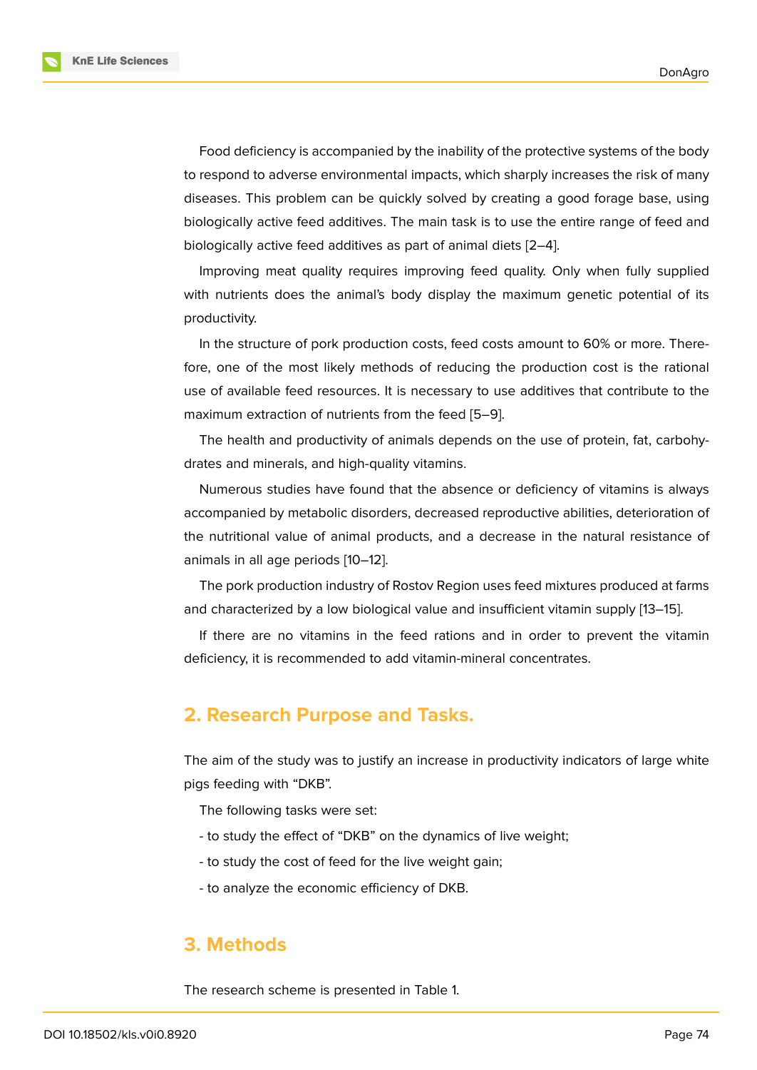Food deficiency is accompanied by the inability of the protective systems of the body to respond to adverse environmental impacts, which sharply increases the risk of many diseases. This problem can be quickly solved by creating a good forage base, using biologically active feed additives. The main task is to use the entire range of feed and biologically active feed additives as part of animal diets [2–4].

Improving meat quality requires improving feed quality. Only when fully supplied with nutrients does the animal's body display the max[im](#page-5-1)[um](#page-5-2) genetic potential of its productivity.

In the structure of pork production costs, feed costs amount to 60% or more. Therefore, one of the most likely methods of reducing the production cost is the rational use of available feed resources. It is necessary to use additives that contribute to the maximum extraction of nutrients from the feed [5–9].

The health and productivity of animals depends on the use of protein, fat, carbohydrates and minerals, and high-quality vitamins.

Numerous studies have found that the abse[nc](#page-5-3)[e](#page-5-4) or deficiency of vitamins is always accompanied by metabolic disorders, decreased reproductive abilities, deterioration of the nutritional value of animal products, and a decrease in the natural resistance of animals in all age periods [10–12].

The pork production industry of Rostov Region uses feed mixtures produced at farms and characterized by a low biological value and insufficient vitamin supply [13–15].

If there are no vitamin[s in](#page-5-5) [th](#page-6-0)e feed rations and in order to prevent the vitamin deficiency, it is recommended to add vitamin-mineral concentrates.

## **2. Research Purpose and Tasks.**

The aim of the study was to justify an increase in productivity indicators of large white pigs feeding with "DKB".

The following tasks were set:

- to study the effect of "DKB" on the dynamics of live weight;
- to study the cost of feed for the live weight gain;
- to analyze the economic efficiency of DKB.

### **3. Methods**

The research scheme is presented in Table 1.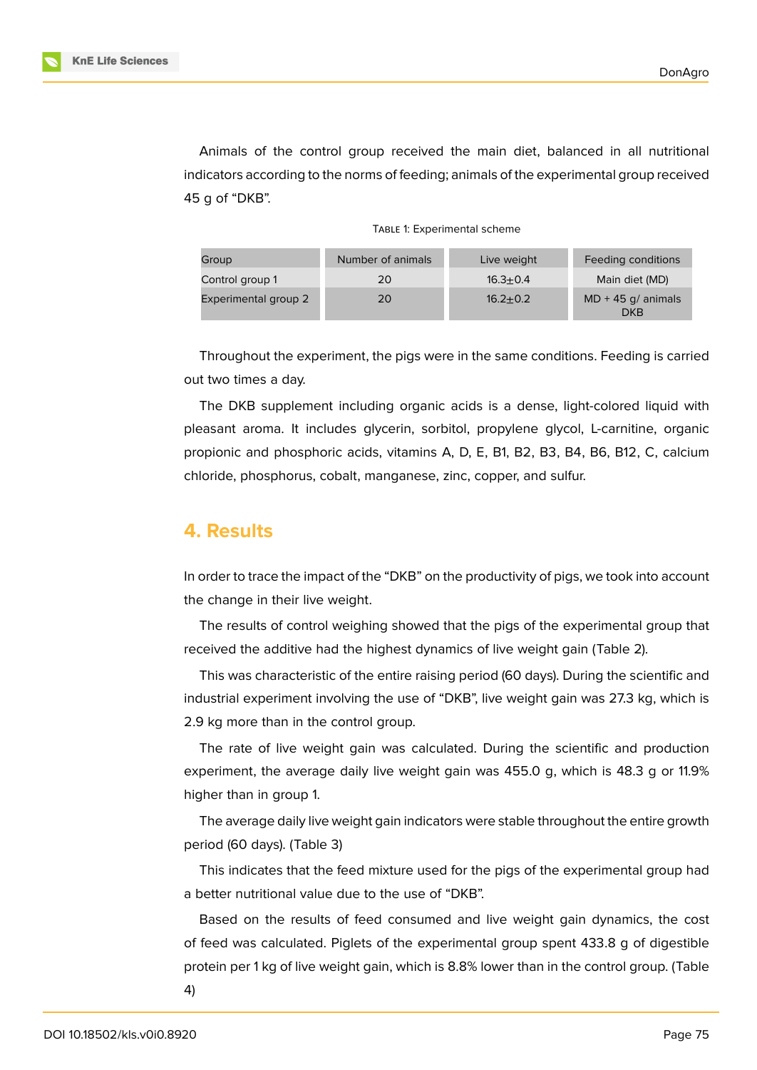

Animals of the control group received the main diet, balanced in all nutritional indicators according to the norms of feeding; animals of the experimental group received 45 g of "DKB".

| Group                | Number of animals | Live weight  | Feeding conditions                 |
|----------------------|-------------------|--------------|------------------------------------|
| Control group 1      | 20                | $16.3 + 0.4$ | Main diet (MD)                     |
| Experimental group 2 | 20                | $16.2 + 0.2$ | $MD + 45$ g/ animals<br><b>DKB</b> |

Throughout the experiment, the pigs were in the same conditions. Feeding is carried out two times a day.

The DKB supplement including organic acids is a dense, light-colored liquid with pleasant aroma. It includes glycerin, sorbitol, propylene glycol, L-carnitine, organic propionic and phosphoric acids, vitamins A, D, E, B1, B2, B3, B4, B6, B12, C, calcium chloride, phosphorus, cobalt, manganese, zinc, copper, and sulfur.

### **4. Results**

In order to trace the impact of the "DKB" on the productivity of pigs, we took into account the change in their live weight.

The results of control weighing showed that the pigs of the experimental group that received the additive had the highest dynamics of live weight gain (Table 2).

This was characteristic of the entire raising period (60 days). During the scientific and industrial experiment involving the use of "DKB", live weight gain was 27.3 kg, which is 2.9 kg more than in the control group.

The rate of live weight gain was calculated. During the scientific and production experiment, the average daily live weight gain was 455.0 g, which is 48.3 g or 11.9% higher than in group 1.

The average daily live weight gain indicators were stable throughout the entire growth period (60 days). (Table 3)

This indicates that the feed mixture used for the pigs of the experimental group had a better nutritional value due to the use of "DKB".

Based on the results of feed consumed and live weight gain dynamics, the cost of feed was calculated. Piglets of the experimental group spent 433.8 g of digestible protein per 1 kg of live weight gain, which is 8.8% lower than in the control group. (Table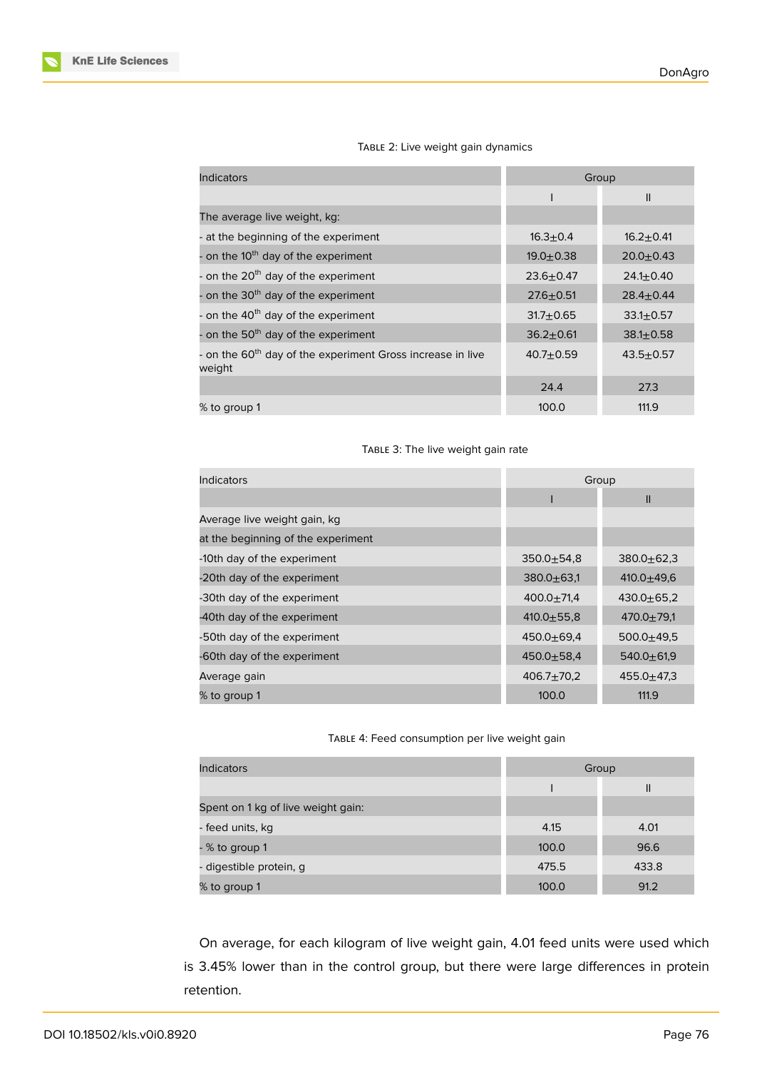| <b>Indicators</b>                                                                | Group         |                 |
|----------------------------------------------------------------------------------|---------------|-----------------|
|                                                                                  |               | $\mathsf{I}$    |
| The average live weight, kg:                                                     |               |                 |
| - at the beginning of the experiment                                             | $16.3 + 0.4$  | $16.2 + 0.41$   |
| - on the 10 <sup>th</sup> day of the experiment                                  | $19.0 + 0.38$ | $20.0 + 0.43$   |
| - on the 20 <sup>th</sup> day of the experiment                                  | $23.6 + 0.47$ | $24.1 \pm 0.40$ |
| - on the 30 <sup>th</sup> day of the experiment                                  | $27.6 + 0.51$ | $28.4 \pm 0.44$ |
| - on the 40 <sup>th</sup> day of the experiment                                  | $31.7 + 0.65$ | $33.1 \pm 0.57$ |
| - on the 50 <sup>th</sup> day of the experiment                                  | $36.2 + 0.61$ | $38.1 \pm 0.58$ |
| - on the 60 <sup>th</sup> day of the experiment Gross increase in live<br>weight | $40.7 + 0.59$ | $43.5 + 0.57$   |
|                                                                                  | 24.4          | 27.3            |
| % to group 1                                                                     | 100.0         | 111.9           |

### TABLE 2: Live weight gain dynamics

#### TABLE 3: The live weight gain rate

| Indicators                         | Group            |                  |
|------------------------------------|------------------|------------------|
|                                    |                  | $\mathbf{I}$     |
| Average live weight gain, kg       |                  |                  |
| at the beginning of the experiment |                  |                  |
| -10th day of the experiment        | $350.0 + 54.8$   | $380.0 + 62.3$   |
| -20th day of the experiment        | $380.0 + 63.1$   | 410.0 $\pm$ 49.6 |
| -30th day of the experiment        | $400.0 \pm 71.4$ | $430.0 + 65.2$   |
| -40th day of the experiment        | $410.0 + 55.8$   | $470.0 + 79.1$   |
| -50th day of the experiment        | $450.0 + 69.4$   | $500.0 + 49.5$   |
| -60th day of the experiment        | $450.0 + 58.4$   | $540.0 + 61.9$   |
| Average gain                       | $406.7 \pm 70.2$ | $455.0 + 47.3$   |
| % to group 1                       | 100.0            | 111.9            |

#### TABLE 4: Feed consumption per live weight gain

| <b>Indicators</b>                  | Group |              |
|------------------------------------|-------|--------------|
|                                    |       | $\mathsf{I}$ |
| Spent on 1 kg of live weight gain: |       |              |
| - feed units, kg                   | 4.15  | 4.01         |
| - % to group 1                     | 100.0 | 96.6         |
| - digestible protein, g            | 475.5 | 433.8        |
| % to group 1                       | 100.0 | 91.2         |

On average, for each kilogram of live weight gain, 4.01 feed units were used which is 3.45% lower than in the control group, but there were large differences in protein retention.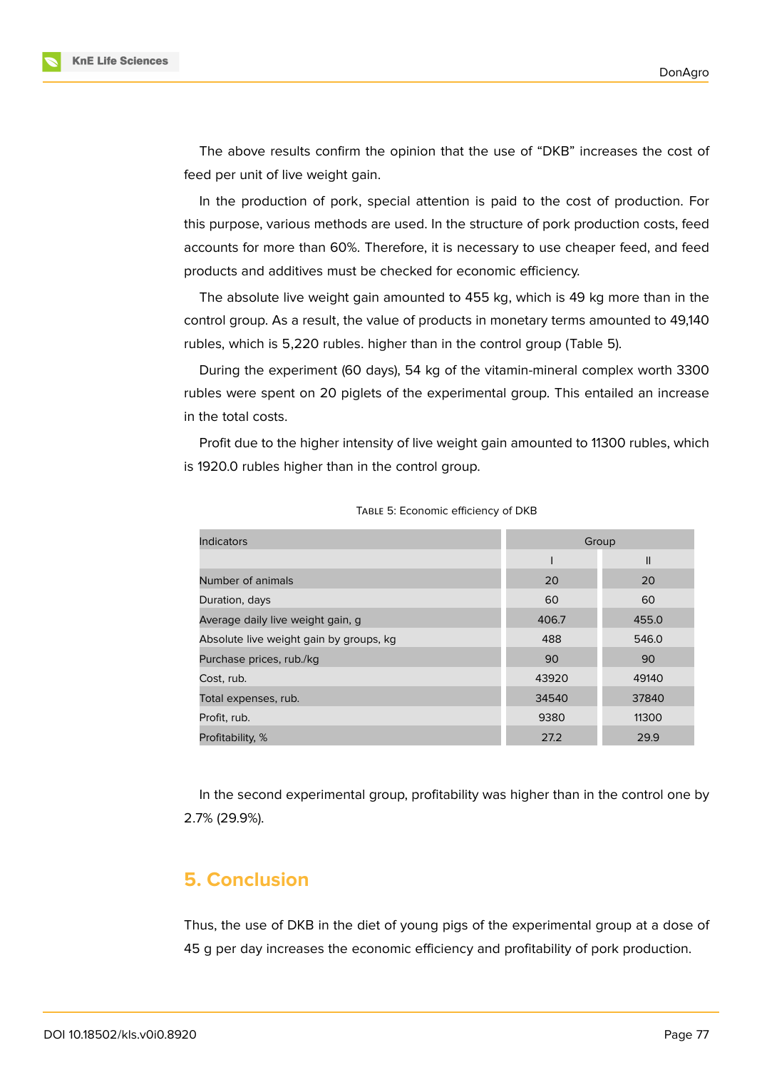

The above results confirm the opinion that the use of "DKB" increases the cost of feed per unit of live weight gain.

In the production of pork, special attention is paid to the cost of production. For this purpose, various methods are used. In the structure of pork production costs, feed accounts for more than 60%. Therefore, it is necessary to use cheaper feed, and feed products and additives must be checked for economic efficiency.

The absolute live weight gain amounted to 455 kg, which is 49 kg more than in the control group. As a result, the value of products in monetary terms amounted to 49,140 rubles, which is 5,220 rubles. higher than in the control group (Table 5).

During the experiment (60 days), 54 kg of the vitamin-mineral complex worth 3300 rubles were spent on 20 piglets of the experimental group. This entailed an increase in the total costs.

Profit due to the higher intensity of live weight gain amounted to 11300 rubles, which is 1920.0 rubles higher than in the control group.

| <b>Indicators</b>                       | Group |               |
|-----------------------------------------|-------|---------------|
|                                         |       | $\mathsf{II}$ |
| Number of animals                       | 20    | 20            |
| Duration, days                          | 60    | 60            |
| Average daily live weight gain, g       | 406.7 | 455.0         |
| Absolute live weight gain by groups, kg | 488   | 546.0         |
| Purchase prices, rub./kg                | 90    | 90            |
| Cost, rub.                              | 43920 | 49140         |
| Total expenses, rub.                    | 34540 | 37840         |
| Profit, rub.                            | 9380  | 11300         |
| Profitability, %                        | 27.2  | 29.9          |

TABLE 5: Economic efficiency of DKB

In the second experimental group, profitability was higher than in the control one by 2.7% (29.9%).

## **5. Conclusion**

Thus, the use of DKB in the diet of young pigs of the experimental group at a dose of 45 g per day increases the economic efficiency and profitability of pork production.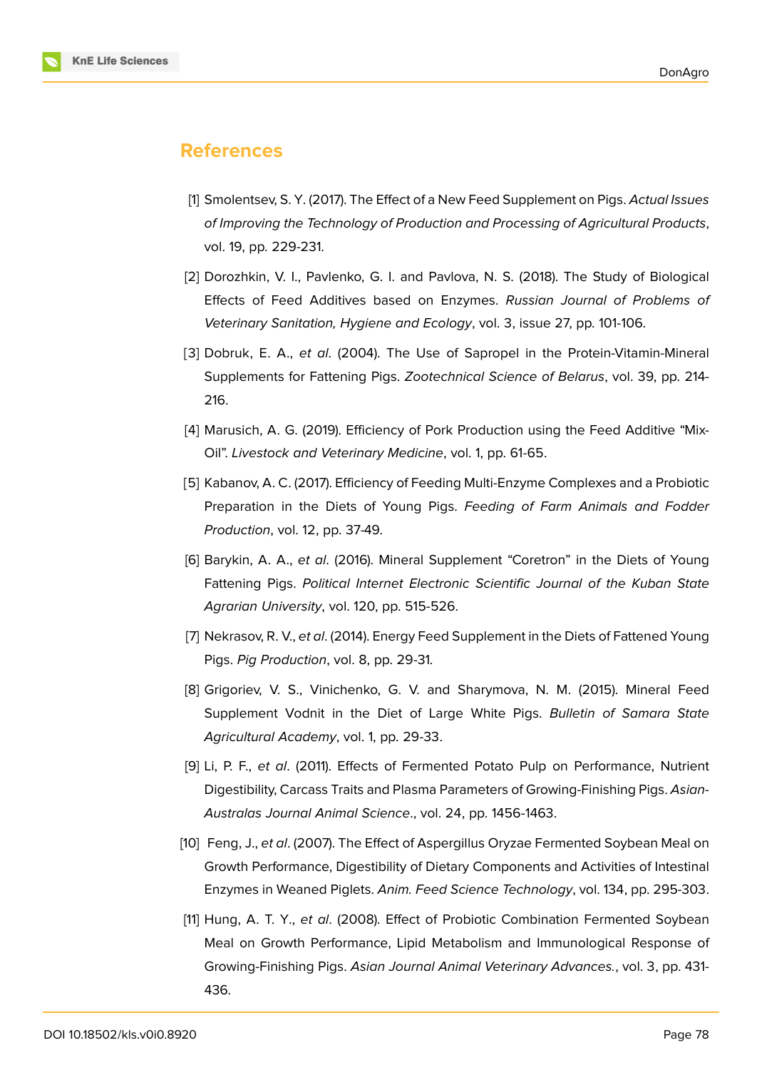

### **References**

- <span id="page-5-0"></span>[1] Smolentsev, S. Y. (2017). The Effect of a New Feed Supplement on Pigs. *Actual Issues of Improving the Technology of Production and Processing of Agricultural Products*, vol. 19, pp. 229-231.
- <span id="page-5-1"></span>[2] Dorozhkin, V. I., Pavlenko, G. I. and Pavlova, N. S. (2018). The Study of Biological Effects of Feed Additives based on Enzymes. *Russian Journal of Problems of Veterinary Sanitation, Hygiene and Ecology*, vol. 3, issue 27, pp. 101-106.
- [3] Dobruk, E. A., *et al*. (2004). The Use of Sapropel in the Protein-Vitamin-Mineral Supplements for Fattening Pigs. *Zootechnical Science of Belarus*, vol. 39, pp. 214- 216.
- <span id="page-5-2"></span>[4] Marusich, A. G. (2019). Efficiency of Pork Production using the Feed Additive "Mix-Oil". *Livestock and Veterinary Medicine*, vol. 1, pp. 61-65.
- <span id="page-5-3"></span>[5] Kabanov, A. C. (2017). Efficiency of Feeding Multi-Enzyme Complexes and a Probiotic Preparation in the Diets of Young Pigs. *Feeding of Farm Animals and Fodder Production*, vol. 12, pp. 37-49.
- [6] Barykin, A. A., *et al*. (2016). Mineral Supplement "Coretron" in the Diets of Young Fattening Pigs. *Political Internet Electronic Scientific Journal of the Kuban State Agrarian University*, vol. 120, pp. 515-526.
- [7] Nekrasov, R. V., *et al*. (2014). Energy Feed Supplement in the Diets of Fattened Young Pigs. *Pig Production*, vol. 8, pp. 29-31.
- [8] Grigoriev, V. S., Vinichenko, G. V. and Sharymova, N. M. (2015). Mineral Feed Supplement Vodnit in the Diet of Large White Pigs. *Bulletin of Samara State Agricultural Academy*, vol. 1, pp. 29-33.
- <span id="page-5-4"></span>[9] Li, P. F., *et al*. (2011). Effects of Fermented Potato Pulp on Performance, Nutrient Digestibility, Carcass Traits and Plasma Parameters of Growing-Finishing Pigs. *Asian-Australas Journal Animal Science*., vol. 24, pp. 1456-1463.
- <span id="page-5-5"></span>[10] Feng, J., *et al*. (2007). The Effect of Aspergillus Oryzae Fermented Soybean Meal on Growth Performance, Digestibility of Dietary Components and Activities of Intestinal Enzymes in Weaned Piglets. *Anim. Feed Science Technology*, vol. 134, pp. 295-303.
- [11] Hung, A. T. Y., *et al*. (2008). Effect of Probiotic Combination Fermented Soybean Meal on Growth Performance, Lipid Metabolism and Immunological Response of Growing-Finishing Pigs. *Asian Journal Animal Veterinary Advances.*, vol. 3, pp. 431- 436.